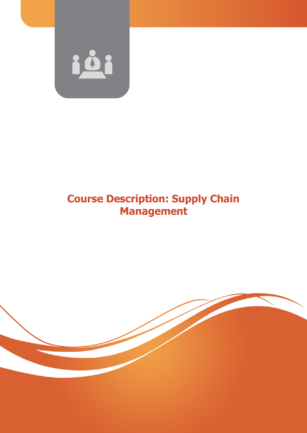

# **Course Description: Supply Chain Management**

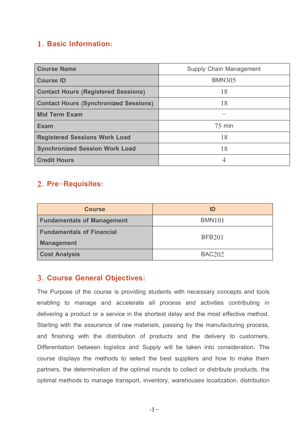# **1. Basic Information:**

| <b>Course Name</b>                           | Supply Chain Management |
|----------------------------------------------|-------------------------|
| <b>Course ID</b>                             | <b>BMN305</b>           |
| <b>Contact Hours (Registered Sessions)</b>   | 18                      |
| <b>Contact Hours (Synchronized Sessions)</b> | 18                      |
| <b>Mid Term Exam</b>                         |                         |
| <b>Exam</b>                                  | $75$ min                |
| <b>Registered Sessions Work Load</b>         | 18                      |
| <b>Synchronized Session Work Load</b>        | 18                      |
| <b>Credit Hours</b>                          | 4                       |

# **2. Pre-Requisites:**

| <b>Course</b>                                         | ID            |
|-------------------------------------------------------|---------------|
| <b>Fundamentals of Management</b>                     | <b>BMN101</b> |
| <b>Fundamentals of Financial</b><br><b>Management</b> | <b>BFB201</b> |
| <b>Cost Analysis</b>                                  | <b>BAC202</b> |

### **3. Course General Objectives:**

The Purpose of the course is providing students with necessary concepts and tools enabling to manage and accelerate all process and activities contributing in delivering a product or a service in the shortest delay and the most effective method. Starting with the assurance of raw materials, passing by the manufacturing process, and finishing with the distribution of products and the delivery to customers. Differentiation between logistics and Supply will be taken into consideration. The course displays the methods to select the best suppliers and how to make them partners, the determination of the optimal rounds to collect or distribute products, the optimal methods to manage transport, inventory, warehouses localization, distribution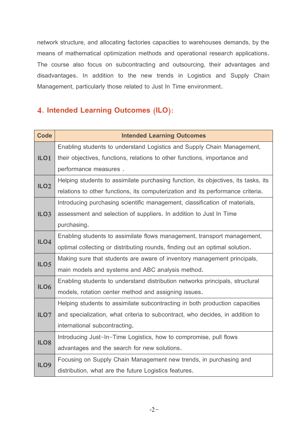network structure, and allocating factories capacities to warehouses demands, by the means of mathematical optimization methods and operational research applications. The course also focus on subcontracting and outsourcing, their advantages and disadvantages. In addition to the new trends in Logistics and Supply Chain Management, particularly those related to Just In Time environment.

# **4. Intended Learning Outcomes (ILO):**

| <b>Code</b>      | <b>Intended Learning Outcomes</b>                                                  |
|------------------|------------------------------------------------------------------------------------|
|                  | Enabling students to understand Logistics and Supply Chain Management,             |
| ILO <sub>1</sub> | their objectives, functions, relations to other functions, importance and          |
|                  | performance measures.                                                              |
| ILO <sub>2</sub> | Helping students to assimilate purchasing function, its objectives, its tasks, its |
|                  | relations to other functions, its computerization and its performance criteria.    |
|                  | Introducing purchasing scientific management, classification of materials,         |
| ILO <sub>3</sub> | assessment and selection of suppliers. In addition to Just In Time                 |
|                  | purchasing.                                                                        |
| ILO4             | Enabling students to assimilate flows management, transport management,            |
|                  | optimal collecting or distributing rounds, finding out an optimal solution.        |
| ILO <sub>5</sub> | Making sure that students are aware of inventory management principals,            |
|                  | main models and systems and ABC analysis method.                                   |
| ILO6             | Enabling students to understand distribution networks principals, structural       |
|                  | models, rotation center method and assigning issues.                               |
|                  | Helping students to assimilate subcontracting in both production capacities        |
| ILO7             | and specialization, what criteria to subcontract, who decides, in addition to      |
|                  | international subcontracting.                                                      |
| ILO <sub>8</sub> | Introducing Just-In-Time Logistics, how to compromise, pull flows                  |
|                  | advantages and the search for new solutions.                                       |
| ILO <sub>9</sub> | Focusing on Supply Chain Management new trends, in purchasing and                  |
|                  | distribution, what are the future Logistics features.                              |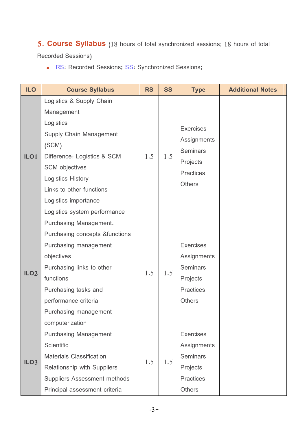# **5. Course Syllabus** (18 hours of total synchronized sessions; 18 hours of total

Recorded Sessions)

RS**:** Recorded Sessions**;** SS**:** Synchronized Sessions**;**

| <b>ILO</b>       | <b>Course Syllabus</b>              | <b>RS</b> | <b>SS</b> | <b>Type</b>      | <b>Additional Notes</b> |
|------------------|-------------------------------------|-----------|-----------|------------------|-------------------------|
|                  | Logistics & Supply Chain            |           |           |                  |                         |
|                  | Management                          |           |           |                  |                         |
|                  | Logistics                           |           |           |                  |                         |
|                  | Supply Chain Management             |           |           | <b>Exercises</b> |                         |
|                  | (SCM)                               |           |           | Assignments      |                         |
| ILO <sub>1</sub> | Difference: Logistics & SCM         | 1.5       | 1.5       | <b>Seminars</b>  |                         |
|                  | <b>SCM</b> objectives               |           |           | Projects         |                         |
|                  | <b>Logistics History</b>            |           |           | <b>Practices</b> |                         |
|                  | Links to other functions            |           |           | <b>Others</b>    |                         |
|                  | Logistics importance                |           |           |                  |                         |
|                  | Logistics system performance        |           |           |                  |                         |
|                  | Purchasing Management.              |           |           |                  |                         |
|                  | Purchasing concepts & functions     |           |           |                  |                         |
|                  | Purchasing management               |           |           | <b>Exercises</b> |                         |
|                  | objectives                          |           |           | Assignments      |                         |
|                  | Purchasing links to other           |           |           | <b>Seminars</b>  |                         |
| ILO <sub>2</sub> | functions                           | 1.5       | 1.5       | Projects         |                         |
|                  | Purchasing tasks and                |           |           | <b>Practices</b> |                         |
|                  | performance criteria                |           |           | <b>Others</b>    |                         |
|                  | Purchasing management               |           |           |                  |                         |
|                  | computerization                     |           |           |                  |                         |
|                  | <b>Purchasing Management</b>        |           |           | <b>Exercises</b> |                         |
|                  | <b>Scientific</b>                   |           |           | Assignments      |                         |
|                  | <b>Materials Classification</b>     |           |           | <b>Seminars</b>  |                         |
| ILO <sub>3</sub> | Relationship with Suppliers         | 1.5       | 1.5       | Projects         |                         |
|                  | <b>Suppliers Assessment methods</b> |           |           | <b>Practices</b> |                         |
|                  | Principal assessment criteria       |           |           | <b>Others</b>    |                         |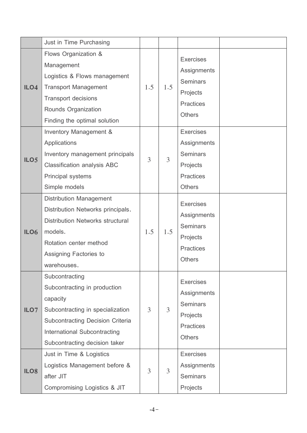|                  | Just in Time Purchasing                 |     |                |                                   |  |
|------------------|-----------------------------------------|-----|----------------|-----------------------------------|--|
|                  | Flows Organization &                    |     |                |                                   |  |
|                  | Management                              |     |                | <b>Exercises</b>                  |  |
|                  | Logistics & Flows management            |     |                | Assignments                       |  |
| ILO4             | <b>Transport Management</b>             | 1.5 | 1.5            | <b>Seminars</b>                   |  |
|                  | <b>Transport decisions</b>              |     |                | Projects                          |  |
|                  | Rounds Organization                     |     |                | <b>Practices</b>                  |  |
|                  | Finding the optimal solution            |     |                | <b>Others</b>                     |  |
|                  | Inventory Management &                  |     |                | <b>Exercises</b>                  |  |
|                  | Applications                            |     |                | Assignments                       |  |
| ILO <sub>5</sub> | Inventory management principals         | 3   | 3              | <b>Seminars</b>                   |  |
|                  | <b>Classification analysis ABC</b>      |     |                | Projects                          |  |
|                  | Principal systems                       |     |                | <b>Practices</b>                  |  |
|                  | Simple models                           |     |                | <b>Others</b>                     |  |
|                  | <b>Distribution Management</b>          |     |                | <b>Exercises</b>                  |  |
|                  | Distribution Networks principals.       |     |                |                                   |  |
|                  | <b>Distribution Networks structural</b> |     |                | Assignments<br><b>Seminars</b>    |  |
| ILO6             | models.                                 | 1.5 | 1.5            |                                   |  |
|                  | Rotation center method                  |     |                | Projects                          |  |
|                  | Assigning Factories to                  |     |                | <b>Practices</b><br><b>Others</b> |  |
|                  | warehouses.                             |     |                |                                   |  |
|                  | Subcontracting                          |     |                | <b>Exercises</b>                  |  |
|                  | Subcontracting in production            |     |                | Assignments                       |  |
|                  | capacity                                |     |                | <b>Seminars</b>                   |  |
| ILO7             | Subcontracting in specialization        | 3   | $\overline{3}$ | Projects                          |  |
|                  | Subcontracting Decision Criteria        |     |                | <b>Practices</b>                  |  |
|                  | International Subcontracting            |     |                | <b>Others</b>                     |  |
|                  | Subcontracting decision taker           |     |                |                                   |  |
|                  | Just in Time & Logistics                |     |                | <b>Exercises</b>                  |  |
| ILO <sub>8</sub> | Logistics Management before &           | 3   | 3              | Assignments                       |  |
|                  | after JIT                               |     |                | <b>Seminars</b>                   |  |
|                  | Compromising Logistics & JIT            |     |                | Projects                          |  |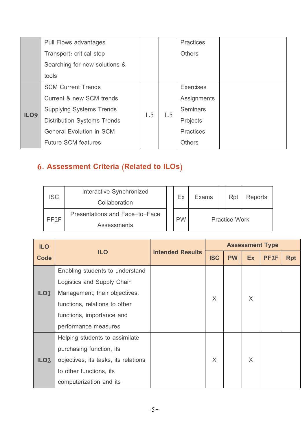|                  | Pull Flows advantages              |     |     | <b>Practices</b> |  |
|------------------|------------------------------------|-----|-----|------------------|--|
|                  | Transport: critical step           |     |     | <b>Others</b>    |  |
|                  | Searching for new solutions &      |     |     |                  |  |
|                  | tools                              |     |     |                  |  |
|                  | <b>SCM Current Trends</b>          |     |     | <b>Exercises</b> |  |
|                  | Current & new SCM trends           |     |     | Assignments      |  |
| ILO <sub>9</sub> | <b>Supplying Systems Trends</b>    | 1.5 | 1.5 | <b>Seminars</b>  |  |
|                  | <b>Distribution Systems Trends</b> |     |     | Projects         |  |
|                  | <b>General Evolution in SCM</b>    |     |     | <b>Practices</b> |  |
|                  | <b>Future SCM features</b>         |     |     | <b>Others</b>    |  |

# **6. Assessment Criteria (Related to ILOs)**

| <b>ISC</b> | Interactive Synchronized<br>Collaboration |  | Ex        | <b>Exams</b>         |  | Rpt | <b>Reports</b> |
|------------|-------------------------------------------|--|-----------|----------------------|--|-----|----------------|
| PF2F       | Presentations and Face-to-Face            |  | <b>PW</b> | <b>Practice Work</b> |  |     |                |
|            | <b>Assessments</b>                        |  |           |                      |  |     |                |

| <b>ILO</b>       |                                      |                         | <b>Assessment Type</b> |           |           |                  |            |  |  |
|------------------|--------------------------------------|-------------------------|------------------------|-----------|-----------|------------------|------------|--|--|
| Code             | <b>ILO</b>                           | <b>Intended Results</b> | <b>ISC</b>             | <b>PW</b> | <b>Ex</b> | PF <sub>2F</sub> | <b>Rpt</b> |  |  |
|                  | Enabling students to understand      |                         |                        |           |           |                  |            |  |  |
|                  | Logistics and Supply Chain           |                         |                        |           |           |                  |            |  |  |
| ILO <sub>1</sub> | Management, their objectives,        |                         | X                      |           | $\times$  |                  |            |  |  |
|                  | functions, relations to other        |                         |                        |           |           |                  |            |  |  |
|                  | functions, importance and            |                         |                        |           |           |                  |            |  |  |
|                  | performance measures                 |                         |                        |           |           |                  |            |  |  |
|                  | Helping students to assimilate       |                         |                        |           |           |                  |            |  |  |
|                  | purchasing function, its             |                         |                        |           |           |                  |            |  |  |
| ILO <sub>2</sub> | objectives, its tasks, its relations |                         | $\times$               |           | $\times$  |                  |            |  |  |
|                  | to other functions, its              |                         |                        |           |           |                  |            |  |  |
|                  | computerization and its              |                         |                        |           |           |                  |            |  |  |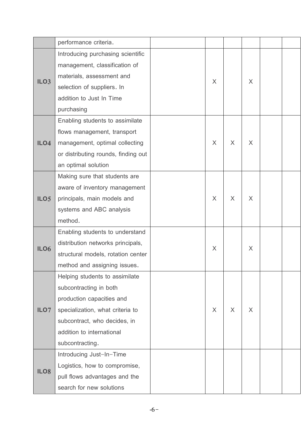|                  | performance criteria.               |   |        |          |  |
|------------------|-------------------------------------|---|--------|----------|--|
|                  | Introducing purchasing scientific   |   |        |          |  |
|                  | management, classification of       |   |        |          |  |
| ILO <sub>3</sub> | materials, assessment and           | X |        | $\times$ |  |
|                  | selection of suppliers. In          |   |        |          |  |
|                  | addition to Just In Time            |   |        |          |  |
|                  | purchasing                          |   |        |          |  |
|                  | Enabling students to assimilate     |   |        |          |  |
|                  | flows management, transport         |   |        |          |  |
| ILO4             | management, optimal collecting      | X | $\chi$ | X        |  |
|                  | or distributing rounds, finding out |   |        |          |  |
|                  | an optimal solution                 |   |        |          |  |
|                  | Making sure that students are       |   |        |          |  |
|                  | aware of inventory management       |   |        |          |  |
| ILO <sub>5</sub> | principals, main models and         | X | $\chi$ | $\times$ |  |
|                  | systems and ABC analysis            |   |        |          |  |
|                  | method.                             |   |        |          |  |
|                  | Enabling students to understand     |   |        |          |  |
| ILO6             | distribution networks principals,   | X |        | X        |  |
|                  | structural models, rotation center  |   |        |          |  |
|                  | method and assigning issues.        |   |        |          |  |
|                  | Helping students to assimilate      |   |        |          |  |
|                  | subcontracting in both              |   |        |          |  |
|                  | production capacities and           |   |        |          |  |
| ILO7             | specialization, what criteria to    | X | X      | $\times$ |  |
|                  | subcontract, who decides, in        |   |        |          |  |
|                  | addition to international           |   |        |          |  |
|                  | subcontracting.                     |   |        |          |  |
|                  | Introducing Just-In-Time            |   |        |          |  |
| ILO <sub>8</sub> | Logistics, how to compromise,       |   |        |          |  |
|                  | pull flows advantages and the       |   |        |          |  |
|                  | search for new solutions            |   |        |          |  |